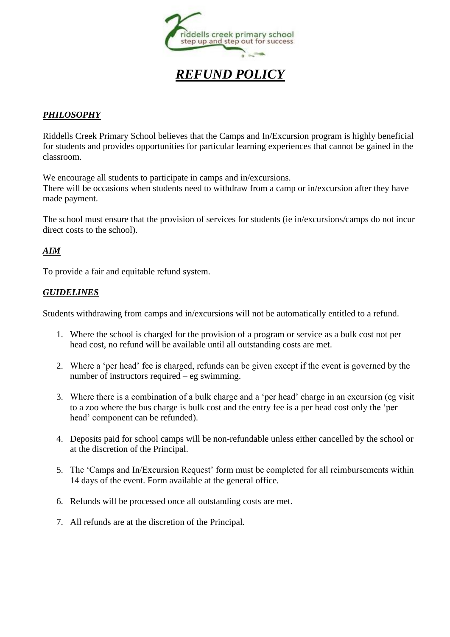

## *PHILOSOPHY*

Riddells Creek Primary School believes that the Camps and In/Excursion program is highly beneficial for students and provides opportunities for particular learning experiences that cannot be gained in the classroom.

We encourage all students to participate in camps and in/excursions. There will be occasions when students need to withdraw from a camp or in/excursion after they have made payment.

The school must ensure that the provision of services for students (ie in/excursions/camps do not incur direct costs to the school).

## *AIM*

To provide a fair and equitable refund system.

## *GUIDELINES*

Students withdrawing from camps and in/excursions will not be automatically entitled to a refund.

- 1. Where the school is charged for the provision of a program or service as a bulk cost not per head cost, no refund will be available until all outstanding costs are met.
- 2. Where a 'per head' fee is charged, refunds can be given except if the event is governed by the number of instructors required – eg swimming.
- 3. Where there is a combination of a bulk charge and a 'per head' charge in an excursion (eg visit to a zoo where the bus charge is bulk cost and the entry fee is a per head cost only the 'per head' component can be refunded).
- 4. Deposits paid for school camps will be non-refundable unless either cancelled by the school or at the discretion of the Principal.
- 5. The 'Camps and In/Excursion Request' form must be completed for all reimbursements within 14 days of the event. Form available at the general office.
- 6. Refunds will be processed once all outstanding costs are met.
- 7. All refunds are at the discretion of the Principal.